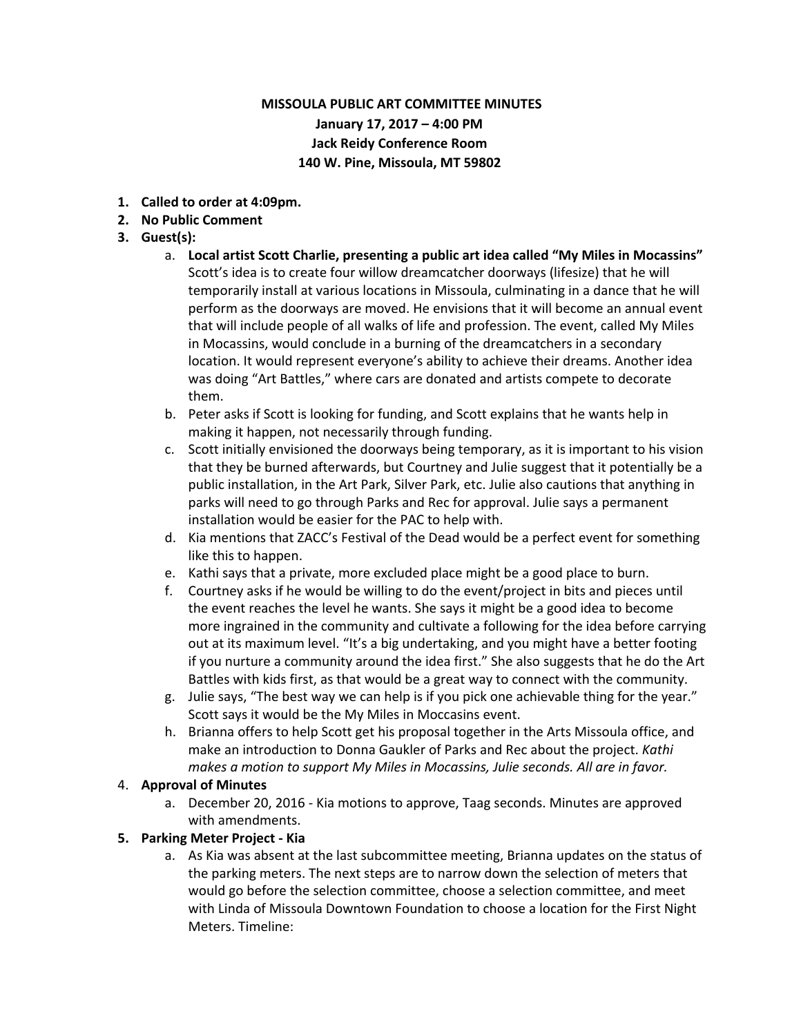# **MISSOULA PUBLIC ART COMMITTEE MINUTES January 17, 2017 – 4:00 PM Jack Reidy Conference Room 140 W. Pine, Missoula, MT 59802**

- **1. Called to order at 4:09pm.**
- **2. No Public Comment**
- **3. Guest(s):**
	- a. **Local artist Scott Charlie, presenting a public art idea called "My Miles in Mocassins"** Scott's idea is to create four willow dreamcatcher doorways (lifesize) that he will temporarily install at various locations in Missoula, culminating in a dance that he will perform as the doorways are moved. He envisions that it will become an annual event that will include people of all walks of life and profession. The event, called My Miles in Mocassins, would conclude in a burning of the dreamcatchers in a secondary location. It would represent everyone's ability to achieve their dreams. Another idea was doing "Art Battles," where cars are donated and artists compete to decorate them.
	- b. Peter asks if Scott is looking for funding, and Scott explains that he wants help in making it happen, not necessarily through funding.
	- c. Scott initially envisioned the doorways being temporary, as it is important to his vision that they be burned afterwards, but Courtney and Julie suggest that it potentially be a public installation, in the Art Park, Silver Park, etc. Julie also cautions that anything in parks will need to go through Parks and Rec for approval. Julie says a permanent installation would be easier for the PAC to help with.
	- d. Kia mentions that ZACC's Festival of the Dead would be a perfect event for something like this to happen.
	- e. Kathi says that a private, more excluded place might be a good place to burn.
	- f. Courtney asks if he would be willing to do the event/project in bits and pieces until the event reaches the level he wants. She says it might be a good idea to become more ingrained in the community and cultivate a following for the idea before carrying out at its maximum level. "It's a big undertaking, and you might have a better footing if you nurture a community around the idea first." She also suggests that he do the Art Battles with kids first, as that would be a great way to connect with the community.
	- g. Julie says, "The best way we can help is if you pick one achievable thing for the year." Scott says it would be the My Miles in Moccasins event.
	- h. Brianna offers to help Scott get his proposal together in the Arts Missoula office, and make an introduction to Donna Gaukler of Parks and Rec about the project. *Kathi makes a motion to support My Miles in Mocassins, Julie seconds. All are in favor.*

#### 4. **Approval of Minutes**

a. December 20, 2016 - Kia motions to approve, Taag seconds. Minutes are approved with amendments.

#### **5. Parking Meter Project - Kia**

a. As Kia was absent at the last subcommittee meeting, Brianna updates on the status of the parking meters. The next steps are to narrow down the selection of meters that would go before the selection committee, choose a selection committee, and meet with Linda of Missoula Downtown Foundation to choose a location for the First Night Meters. Timeline: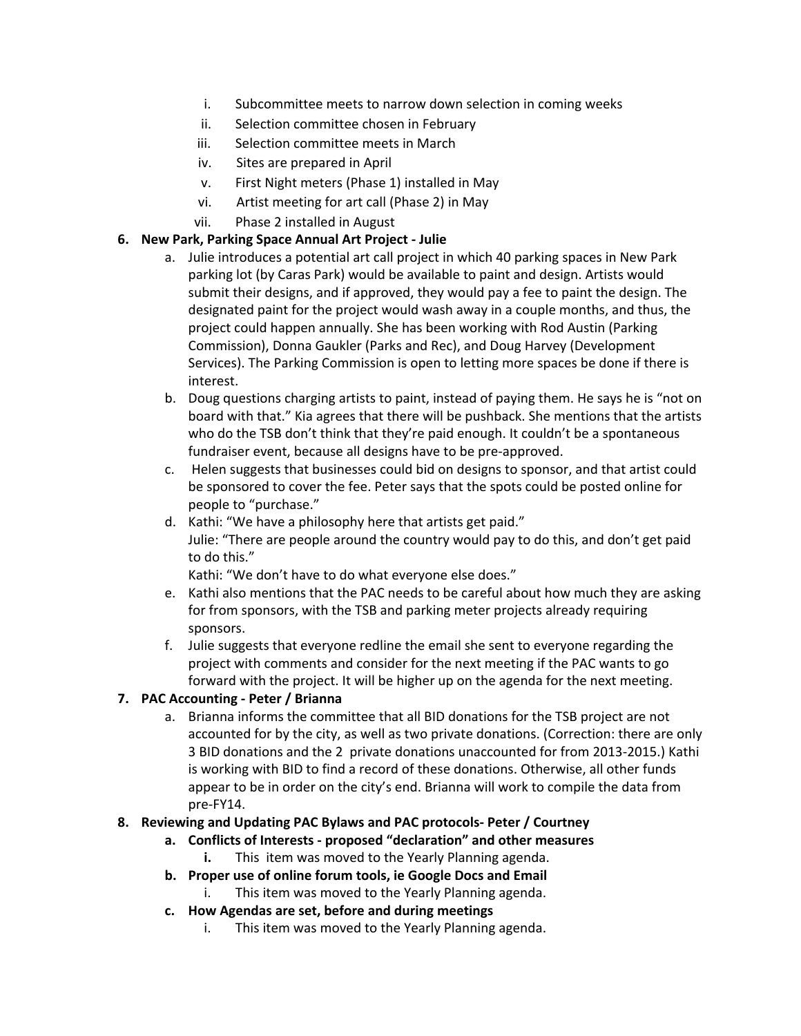- i. Subcommittee meets to narrow down selection in coming weeks
- ii. Selection committee chosen in February
- iii. Selection committee meets in March
- iv. Sites are prepared in April
- v. First Night meters (Phase 1) installed in May
- vi. Artist meeting for art call (Phase 2) in May
- vii. Phase 2 installed in August

#### **6. New Park, Parking Space Annual Art Project - Julie**

- a. Julie introduces a potential art call project in which 40 parking spaces in New Park parking lot (by Caras Park) would be available to paint and design. Artists would submit their designs, and if approved, they would pay a fee to paint the design. The designated paint for the project would wash away in a couple months, and thus, the project could happen annually. She has been working with Rod Austin (Parking Commission), Donna Gaukler (Parks and Rec), and Doug Harvey (Development Services). The Parking Commission is open to letting more spaces be done if there is interest.
- b. Doug questions charging artists to paint, instead of paying them. He says he is "not on board with that." Kia agrees that there will be pushback. She mentions that the artists who do the TSB don't think that they're paid enough. It couldn't be a spontaneous fundraiser event, because all designs have to be pre-approved.
- c. Helen suggests that businesses could bid on designs to sponsor, and that artist could be sponsored to cover the fee. Peter says that the spots could be posted online for people to "purchase."
- d. Kathi: "We have a philosophy here that artists get paid." Julie: "There are people around the country would pay to do this, and don't get paid to do this."

Kathi: "We don't have to do what everyone else does."

- e. Kathi also mentions that the PAC needs to be careful about how much they are asking for from sponsors, with the TSB and parking meter projects already requiring sponsors.
- f. Julie suggests that everyone redline the email she sent to everyone regarding the project with comments and consider for the next meeting if the PAC wants to go forward with the project. It will be higher up on the agenda for the next meeting.

## **7. PAC Accounting - Peter / Brianna**

a. Brianna informs the committee that all BID donations for the TSB project are not accounted for by the city, as well as two private donations. (Correction: there are only 3 BID donations and the 2 private donations unaccounted for from 2013-2015.) Kathi is working with BID to find a record of these donations. Otherwise, all other funds appear to be in order on the city's end. Brianna will work to compile the data from pre-FY14.

#### **8. Reviewing and Updating PAC Bylaws and PAC protocols- Peter / Courtney**

- **a. Conflicts of Interests proposed "declaration" and other measures**
	- **i.** This item was moved to the Yearly Planning agenda.
- **b. Proper use of online forum tools, ie Google Docs and Email**
	- i. This item was moved to the Yearly Planning agenda.
- **c. How Agendas are set, before and during meetings**
	- i. This item was moved to the Yearly Planning agenda.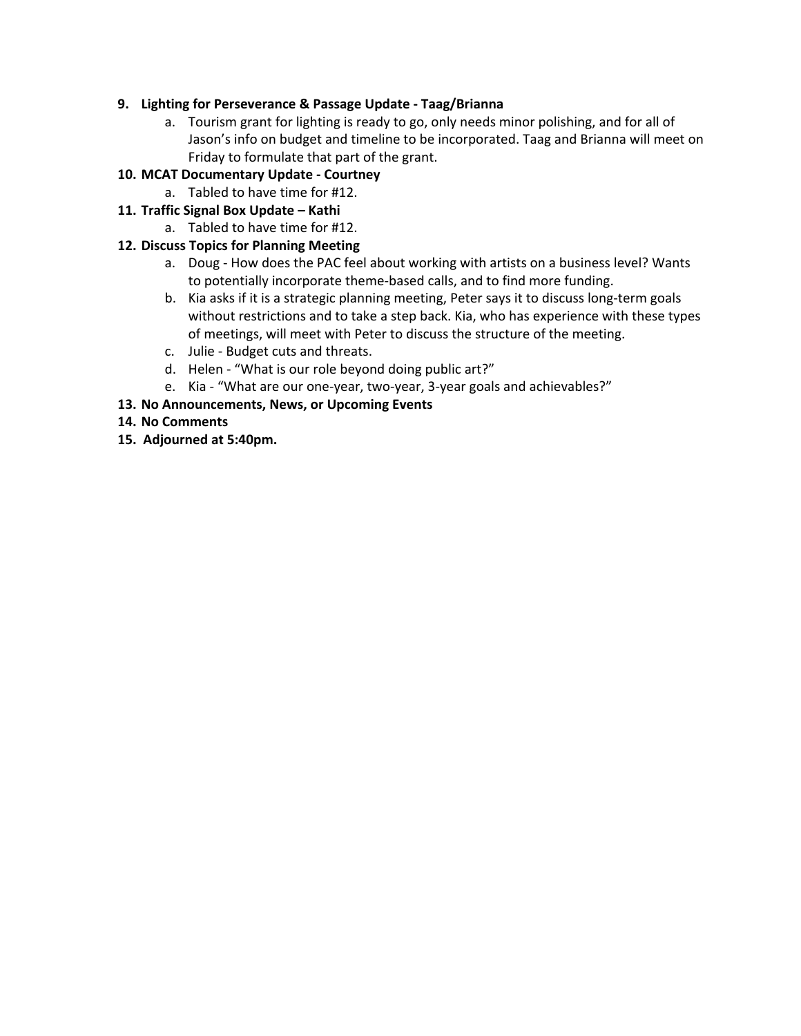#### **9. Lighting for Perseverance & Passage Update - Taag/Brianna**

a. Tourism grant for lighting is ready to go, only needs minor polishing, and for all of Jason's info on budget and timeline to be incorporated. Taag and Brianna will meet on Friday to formulate that part of the grant.

## **10. MCAT Documentary Update - Courtney**

- a. Tabled to have time for #12.
- **11. Traffic Signal Box Update Kathi**
	- a. Tabled to have time for #12.

## **12. Discuss Topics for Planning Meeting**

- a. Doug How does the PAC feel about working with artists on a business level? Wants to potentially incorporate theme-based calls, and to find more funding.
- b. Kia asks if it is a strategic planning meeting, Peter says it to discuss long-term goals without restrictions and to take a step back. Kia, who has experience with these types of meetings, will meet with Peter to discuss the structure of the meeting.
- c. Julie Budget cuts and threats.
- d. Helen "What is our role beyond doing public art?"
- e. Kia "What are our one-year, two-year, 3-year goals and achievables?"

## **13. No Announcements, News, or Upcoming Events**

- **14. No Comments**
- **15. Adjourned at 5:40pm.**